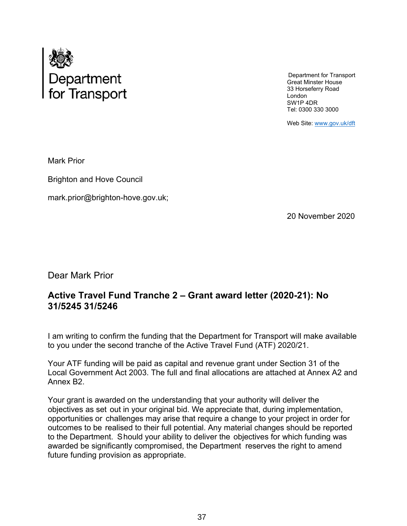

Department for Transport Great Minster House 33 Horseferry Road London SW1P 4DR Tel: 0300 330 3000

Web Site: www.gov.uk/dft

Mark Prior

Brighton and Hove Council

[mark.prior@brighton-hove.gov.uk;](mailto:mark.prior@brighton-hove.gov.uk) 

20 November 2020

Dear Mark Prior

# **Active Travel Fund Tranche 2 – Grant award letter (2020-21): No 31/5245 31/5246**

I am writing to confirm the funding that the Department for Transport will make available to you under the second tranche of the Active Travel Fund (ATF) 2020/21.

Your ATF funding will be paid as capital and revenue grant under Section 31 of the Local Government Act 2003. The full and final allocations are attached at Annex A2 and Annex B2.

Your grant is awarded on the understanding that your authority will deliver the objectives as set out in your original bid. We appreciate that, during implementation, opportunities or challenges may arise that require a change to your project in order for outcomes to be realised to their full potential. Any material changes should be reported to the Department. Should your ability to deliver the objectives for which funding was awarded be significantly compromised, the Department reserves the right to amend future funding provision as appropriate.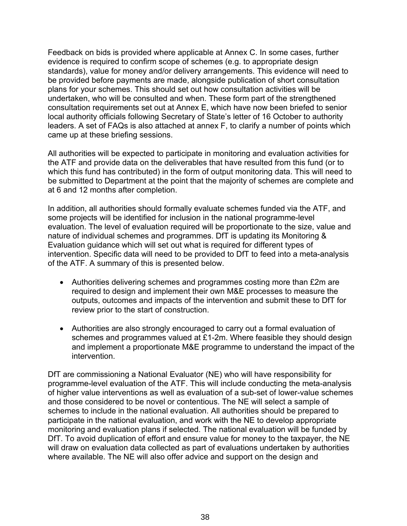Feedback on bids is provided where applicable at Annex C. In some cases, further evidence is required to confirm scope of schemes (e.g. to appropriate design standards), value for money and/or delivery arrangements. This evidence will need to be provided before payments are made, alongside publication of short consultation plans for your schemes. This should set out how consultation activities will be undertaken, who will be consulted and when. These form part of the strengthened consultation requirements set out at Annex E, which have now been briefed to senior local authority officials following Secretary of State's letter of 16 October to authority leaders. A set of FAQs is also attached at annex F, to clarify a number of points which came up at these briefing sessions.

All authorities will be expected to participate in monitoring and evaluation activities for the ATF and provide data on the deliverables that have resulted from this fund (or to which this fund has contributed) in the form of output monitoring data. This will need to be submitted to Department at the point that the majority of schemes are complete and at 6 and 12 months after completion.

In addition, all authorities should formally evaluate schemes funded via the ATF, and some projects will be identified for inclusion in the national programme-level evaluation. The level of evaluation required will be proportionate to the size, value and nature of individual schemes and programmes. DfT is updating its Monitoring & Evaluation guidance which will set out what is required for different types of intervention. Specific data will need to be provided to DfT to feed into a meta-analysis of the ATF. A summary of this is presented below.

- Authorities delivering schemes and programmes costing more than £2m are required to design and implement their own M&E processes to measure the outputs, outcomes and impacts of the intervention and submit these to DfT for review prior to the start of construction.
- Authorities are also strongly encouraged to carry out a formal evaluation of schemes and programmes valued at £1-2m. Where feasible they should design and implement a proportionate M&E programme to understand the impact of the intervention.

DfT are commissioning a National Evaluator (NE) who will have responsibility for programme-level evaluation of the ATF. This will include conducting the meta-analysis of higher value interventions as well as evaluation of a sub-set of lower-value schemes and those considered to be novel or contentious. The NE will select a sample of schemes to include in the national evaluation. All authorities should be prepared to participate in the national evaluation, and work with the NE to develop appropriate monitoring and evaluation plans if selected. The national evaluation will be funded by DfT. To avoid duplication of effort and ensure value for money to the taxpayer, the NE will draw on evaluation data collected as part of evaluations undertaken by authorities where available. The NE will also offer advice and support on the design and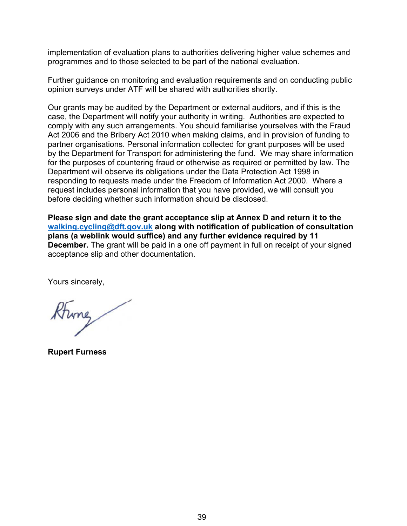implementation of evaluation plans to authorities delivering higher value schemes and programmes and to those selected to be part of the national evaluation.

Further guidance on monitoring and evaluation requirements and on conducting public opinion surveys under ATF will be shared with authorities shortly.

Our grants may be audited by the Department or external auditors, and if this is the case, the Department will notify your authority in writing. Authorities are expected to comply with any such arrangements. You should familiarise yourselves with the Fraud Act 2006 and the Bribery Act 2010 when making claims, and in provision of funding to partner organisations. Personal information collected for grant purposes will be used by the Department for Transport for administering the fund. We may share information for the purposes of countering fraud or otherwise as required or permitted by law. The Department will observe its obligations under the Data Protection Act 1998 in responding to requests made under the Freedom of Information Act 2000. Where a request includes personal information that you have provided, we will consult you before deciding whether such information should be disclosed.

**Please sign and date the grant acceptance slip at Annex D and return it to the [walking.cycling@dft.gov.uk](mailto:walking.cycling@dft.gov.uk) along with notification of publication of consultation plans (a weblink would suffice) and any further evidence required by 11 December.** The grant will be paid in a one off payment in full on receipt of your signed acceptance slip and other documentation.

Yours sincerely,

Kring

**Rupert Furness**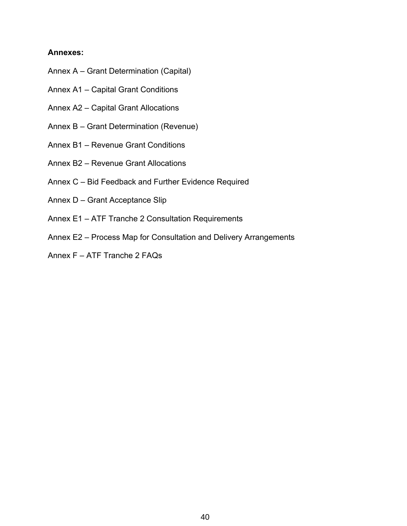## **Annexes:**

- Annex A Grant Determination (Capital)
- Annex A1 Capital Grant Conditions
- Annex A2 Capital Grant Allocations
- Annex B Grant Determination (Revenue)
- Annex B1 Revenue Grant Conditions
- Annex B2 Revenue Grant Allocations
- Annex C Bid Feedback and Further Evidence Required
- Annex D Grant Acceptance Slip
- Annex E1 ATF Tranche 2 Consultation Requirements
- Annex E2 Process Map for Consultation and Delivery Arrangements
- Annex F ATF Tranche 2 FAQs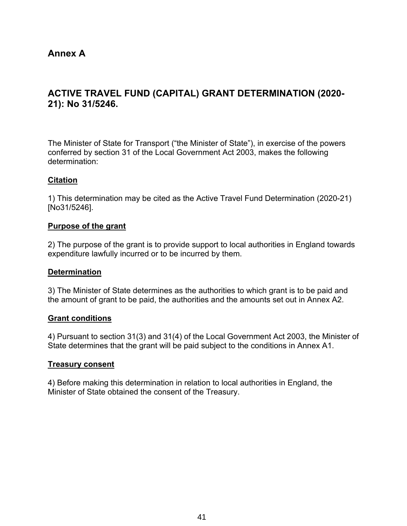# **Annex A**

# **ACTIVE TRAVEL FUND (CAPITAL) GRANT DETERMINATION (2020- 21): No 31/5246.**

The Minister of State for Transport ("the Minister of State"), in exercise of the powers conferred by section 31 of the Local Government Act 2003, makes the following determination:

## **Citation**

1) This determination may be cited as the Active Travel Fund Determination (2020-21) [No31/5246].

#### **Purpose of the grant**

2) The purpose of the grant is to provide support to local authorities in England towards expenditure lawfully incurred or to be incurred by them.

#### **Determination**

3) The Minister of State determines as the authorities to which grant is to be paid and the amount of grant to be paid, the authorities and the amounts set out in Annex A2.

#### **Grant conditions**

4) Pursuant to section 31(3) and 31(4) of the Local Government Act 2003, the Minister of State determines that the grant will be paid subject to the conditions in Annex A1.

#### **Treasury consent**

4) Before making this determination in relation to local authorities in England, the Minister of State obtained the consent of the Treasury.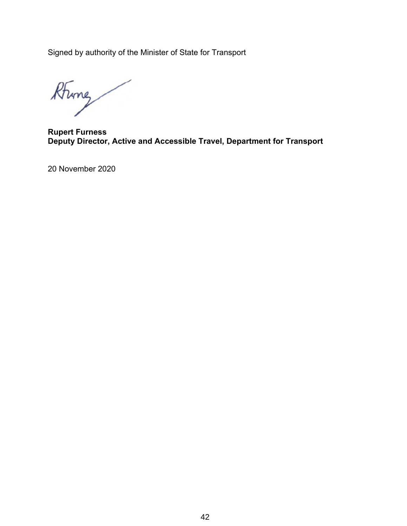Signed by authority of the Minister of State for Transport

Rhing

**Rupert Furness Deputy Director, Active and Accessible Travel, Department for Transport**

20 November 2020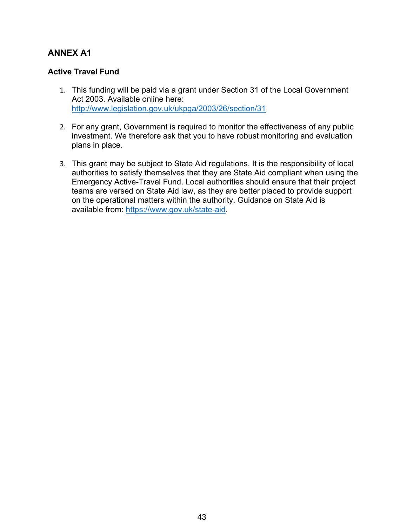# **ANNEX A1**

## **Active Travel Fund**

- 1. This funding will be paid via a grant under Section 31 of the Local Government Act 2003. Available online here: <http://www.legislation.gov.uk/ukpga/2003/26/section/31>
- 2. For any grant, Government is required to monitor the effectiveness of any public investment. We therefore ask that you to have robust monitoring and evaluation plans in place.
- 3. This grant may be subject to State Aid regulations. It is the responsibility of local authorities to satisfy themselves that they are State Aid compliant when using the Emergency Active-Travel Fund. Local authorities should ensure that their project teams are versed on State Aid law, as they are better placed to provide support on the operational matters within the authority. Guidance on State Aid is available from:<https://www.gov.uk/state-aid>.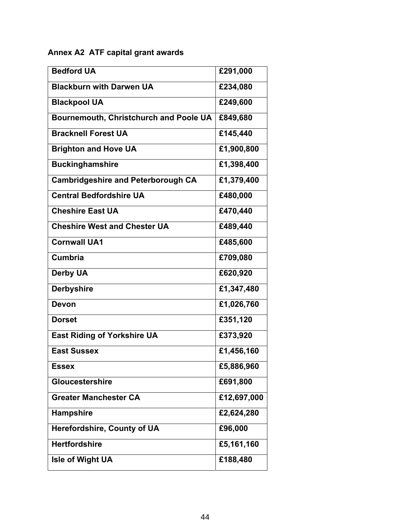# **Annex A2 ATF capital grant awards**

| <b>Bedford UA</b>                             | £291,000    |
|-----------------------------------------------|-------------|
| <b>Blackburn with Darwen UA</b>               | £234,080    |
| <b>Blackpool UA</b>                           | £249,600    |
| <b>Bournemouth, Christchurch and Poole UA</b> | £849,680    |
| <b>Bracknell Forest UA</b>                    | £145,440    |
| <b>Brighton and Hove UA</b>                   | £1,900,800  |
| <b>Buckinghamshire</b>                        | £1,398,400  |
| <b>Cambridgeshire and Peterborough CA</b>     | £1,379,400  |
| <b>Central Bedfordshire UA</b>                | £480,000    |
| <b>Cheshire East UA</b>                       | £470,440    |
| <b>Cheshire West and Chester UA</b>           | £489,440    |
| <b>Cornwall UA1</b>                           | £485,600    |
| <b>Cumbria</b>                                | £709,080    |
| <b>Derby UA</b>                               | £620,920    |
| <b>Derbyshire</b>                             | £1,347,480  |
| <b>Devon</b>                                  | £1,026,760  |
| <b>Dorset</b>                                 | £351,120    |
| <b>East Riding of Yorkshire UA</b>            | £373,920    |
| <b>East Sussex</b>                            | £1,456,160  |
| <b>Essex</b>                                  | £5,886,960  |
| <b>Gloucestershire</b>                        | £691,800    |
| <b>Greater Manchester CA</b>                  | £12,697,000 |
| <b>Hampshire</b>                              | £2,624,280  |
| <b>Herefordshire, County of UA</b>            | £96,000     |
| <b>Hertfordshire</b>                          | £5,161,160  |
| <b>Isle of Wight UA</b>                       | £188,480    |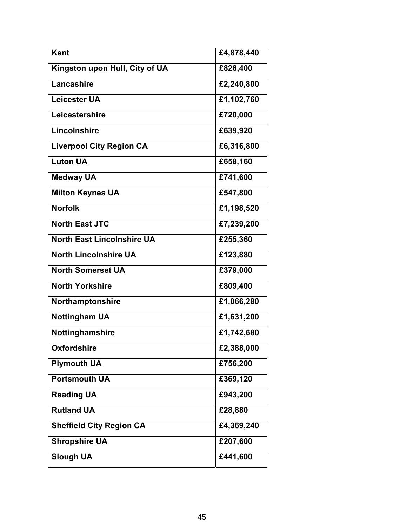| <b>Kent</b>                       | £4,878,440 |
|-----------------------------------|------------|
| Kingston upon Hull, City of UA    | £828,400   |
| Lancashire                        | £2,240,800 |
| <b>Leicester UA</b>               | £1,102,760 |
| Leicestershire                    | £720,000   |
| Lincolnshire                      | £639,920   |
| <b>Liverpool City Region CA</b>   | £6,316,800 |
| <b>Luton UA</b>                   | £658,160   |
| <b>Medway UA</b>                  | £741,600   |
| <b>Milton Keynes UA</b>           | £547,800   |
| <b>Norfolk</b>                    | £1,198,520 |
| <b>North East JTC</b>             | £7,239,200 |
| <b>North East Lincolnshire UA</b> | £255,360   |
| <b>North Lincolnshire UA</b>      | £123,880   |
| <b>North Somerset UA</b>          | £379,000   |
| <b>North Yorkshire</b>            | £809,400   |
| Northamptonshire                  | £1,066,280 |
| <b>Nottingham UA</b>              | £1,631,200 |
| Nottinghamshire                   | £1,742,680 |
| <b>Oxfordshire</b>                | £2,388,000 |
| <b>Plymouth UA</b>                | £756,200   |
| <b>Portsmouth UA</b>              | £369,120   |
| <b>Reading UA</b>                 | £943,200   |
| <b>Rutland UA</b>                 | £28,880    |
| <b>Sheffield City Region CA</b>   | £4,369,240 |
| <b>Shropshire UA</b>              | £207,600   |
| <b>Slough UA</b>                  | £441,600   |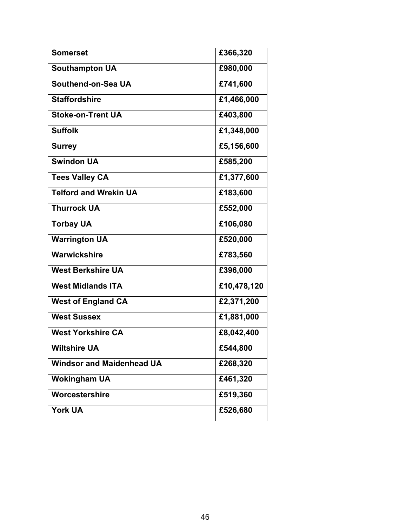| <b>Somerset</b>                  | £366,320    |
|----------------------------------|-------------|
| <b>Southampton UA</b>            | £980,000    |
| Southend-on-Sea UA               | £741,600    |
| <b>Staffordshire</b>             | £1,466,000  |
| <b>Stoke-on-Trent UA</b>         | £403,800    |
| <b>Suffolk</b>                   | £1,348,000  |
| <b>Surrey</b>                    | £5,156,600  |
| <b>Swindon UA</b>                | £585,200    |
| <b>Tees Valley CA</b>            | £1,377,600  |
| <b>Telford and Wrekin UA</b>     | £183,600    |
| <b>Thurrock UA</b>               | £552,000    |
| <b>Torbay UA</b>                 | £106,080    |
| <b>Warrington UA</b>             | £520,000    |
| Warwickshire                     | £783,560    |
| <b>West Berkshire UA</b>         | £396,000    |
| <b>West Midlands ITA</b>         | £10,478,120 |
| <b>West of England CA</b>        | £2,371,200  |
| <b>West Sussex</b>               | £1,881,000  |
| <b>West Yorkshire CA</b>         | £8,042,400  |
| <b>Wiltshire UA</b>              | £544,800    |
| <b>Windsor and Maidenhead UA</b> | £268,320    |
| <b>Wokingham UA</b>              | £461,320    |
| Worcestershire                   | £519,360    |
| <b>York UA</b>                   | £526,680    |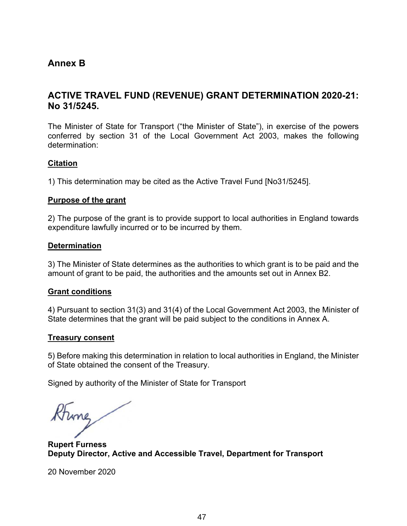# **Annex B**

# **ACTIVE TRAVEL FUND (REVENUE) GRANT DETERMINATION 2020-21: No 31/5245.**

The Minister of State for Transport ("the Minister of State"), in exercise of the powers conferred by section 31 of the Local Government Act 2003, makes the following determination:

## **Citation**

1) This determination may be cited as the Active Travel Fund [No31/5245].

## **Purpose of the grant**

2) The purpose of the grant is to provide support to local authorities in England towards expenditure lawfully incurred or to be incurred by them.

## **Determination**

3) The Minister of State determines as the authorities to which grant is to be paid and the amount of grant to be paid, the authorities and the amounts set out in Annex B2.

#### **Grant conditions**

4) Pursuant to section 31(3) and 31(4) of the Local Government Act 2003, the Minister of State determines that the grant will be paid subject to the conditions in Annex A.

#### **Treasury consent**

5) Before making this determination in relation to local authorities in England, the Minister of State obtained the consent of the Treasury.

Signed by authority of the Minister of State for Transport

thing

**Rupert Furness Deputy Director, Active and Accessible Travel, Department for Transport**

20 November 2020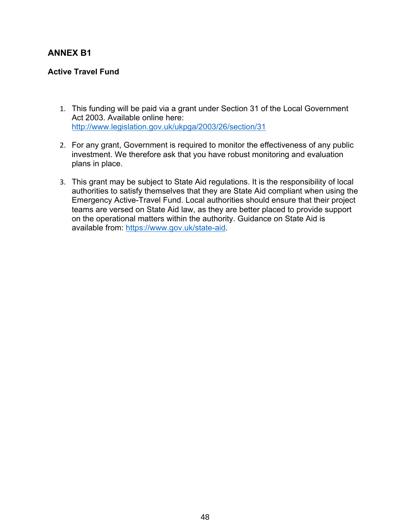# **ANNEX B1**

## **Active Travel Fund**

- 1. This funding will be paid via a grant under Section 31 of the Local Government Act 2003. Available online here: <http://www.legislation.gov.uk/ukpga/2003/26/section/31>
- 2. For any grant, Government is required to monitor the effectiveness of any public investment. We therefore ask that you have robust monitoring and evaluation plans in place.
- 3. This grant may be subject to State Aid regulations. It is the responsibility of local authorities to satisfy themselves that they are State Aid compliant when using the Emergency Active-Travel Fund. Local authorities should ensure that their project teams are versed on State Aid law, as they are better placed to provide support on the operational matters within the authority. Guidance on State Aid is available from:<https://www.gov.uk/state-aid>.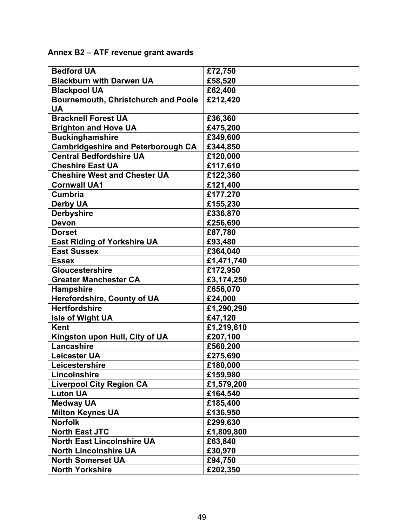**Annex B2 – ATF revenue grant awards** 

| <b>Bedford UA</b>                          | £72,750    |
|--------------------------------------------|------------|
| <b>Blackburn with Darwen UA</b>            | £58,520    |
| <b>Blackpool UA</b>                        | £62,400    |
| <b>Bournemouth, Christchurch and Poole</b> | £212,420   |
| <b>UA</b>                                  |            |
| <b>Bracknell Forest UA</b>                 | £36,360    |
| <b>Brighton and Hove UA</b>                | £475,200   |
| <b>Buckinghamshire</b>                     | £349,600   |
| <b>Cambridgeshire and Peterborough CA</b>  | £344,850   |
| <b>Central Bedfordshire UA</b>             | £120,000   |
| <b>Cheshire East UA</b>                    | £117,610   |
| <b>Cheshire West and Chester UA</b>        | £122,360   |
| <b>Cornwall UA1</b>                        | £121,400   |
| <b>Cumbria</b>                             | £177,270   |
| <b>Derby UA</b>                            | £155,230   |
| <b>Derbyshire</b>                          | £336,870   |
| <b>Devon</b>                               | £256,690   |
| <b>Dorset</b>                              | £87,780    |
| <b>East Riding of Yorkshire UA</b>         | £93,480    |
| <b>East Sussex</b>                         | £364,040   |
| <b>Essex</b>                               | £1,471,740 |
| <b>Gloucestershire</b>                     | £172,950   |
| <b>Greater Manchester CA</b>               | £3,174,250 |
| <b>Hampshire</b>                           | £656,070   |
| Herefordshire, County of UA                | £24,000    |
| <b>Hertfordshire</b>                       | £1,290,290 |
| <b>Isle of Wight UA</b>                    | £47,120    |
| <b>Kent</b>                                | £1,219,610 |
| Kingston upon Hull, City of UA             | £207,100   |
| Lancashire                                 | £560,200   |
| <b>Leicester UA</b>                        | £275,690   |
| Leicestershire                             | £180,000   |
| Lincolnshire                               | £159,980   |
| <b>Liverpool City Region CA</b>            | £1,579,200 |
| <b>Luton UA</b>                            | £164,540   |
| <b>Medway UA</b>                           | £185,400   |
| <b>Milton Keynes UA</b>                    | £136,950   |
| <b>Norfolk</b>                             | £299,630   |
| <b>North East JTC</b>                      | £1,809,800 |
| <b>North East Lincolnshire UA</b>          | £63,840    |
| <b>North Lincolnshire UA</b>               | £30,970    |
| <b>North Somerset UA</b>                   | £94,750    |
| <b>North Yorkshire</b>                     | £202,350   |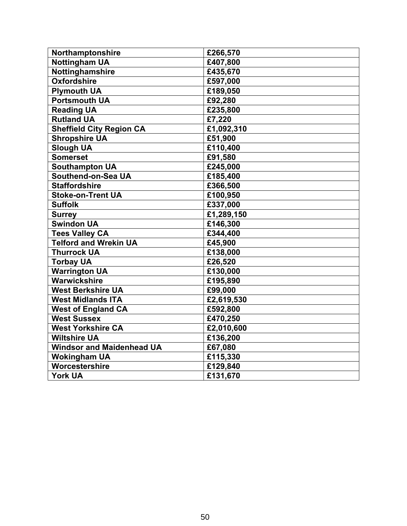| Northamptonshire                 | £266,570   |
|----------------------------------|------------|
| <b>Nottingham UA</b>             | £407,800   |
| Nottinghamshire                  | £435,670   |
| <b>Oxfordshire</b>               | £597,000   |
| <b>Plymouth UA</b>               | £189,050   |
| <b>Portsmouth UA</b>             | £92,280    |
| <b>Reading UA</b>                | £235,800   |
| <b>Rutland UA</b>                | £7,220     |
| <b>Sheffield City Region CA</b>  | £1,092,310 |
| <b>Shropshire UA</b>             | £51,900    |
| <b>Slough UA</b>                 | £110,400   |
| <b>Somerset</b>                  | £91,580    |
| <b>Southampton UA</b>            | £245,000   |
| Southend-on-Sea UA               | £185,400   |
| <b>Staffordshire</b>             | £366,500   |
| <b>Stoke-on-Trent UA</b>         | £100,950   |
| <b>Suffolk</b>                   | £337,000   |
| <b>Surrey</b>                    | £1,289,150 |
| <b>Swindon UA</b>                | £146,300   |
| <b>Tees Valley CA</b>            | £344,400   |
| <b>Telford and Wrekin UA</b>     | £45,900    |
| <b>Thurrock UA</b>               | £138,000   |
| <b>Torbay UA</b>                 | £26,520    |
| <b>Warrington UA</b>             | £130,000   |
| Warwickshire                     | £195,890   |
| <b>West Berkshire UA</b>         | £99,000    |
| <b>West Midlands ITA</b>         | £2,619,530 |
| <b>West of England CA</b>        | £592,800   |
| <b>West Sussex</b>               | £470,250   |
| <b>West Yorkshire CA</b>         | £2,010,600 |
| <b>Wiltshire UA</b>              | £136,200   |
| <b>Windsor and Maidenhead UA</b> | £67,080    |
| <b>Wokingham UA</b>              | £115,330   |
| Worcestershire                   | £129,840   |
| <b>York UA</b>                   | £131,670   |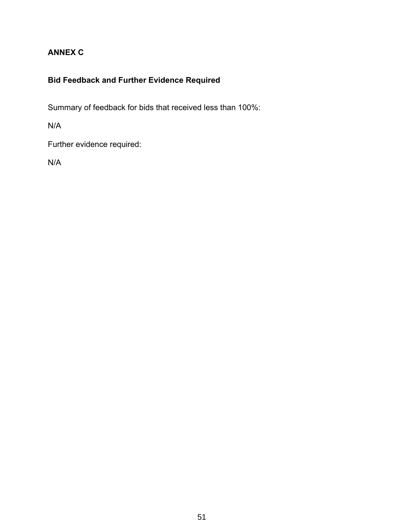# **ANNEX C**

# **Bid Feedback and Further Evidence Required**

Summary of feedback for bids that received less than 100%:

N/A

Further evidence required:

N/A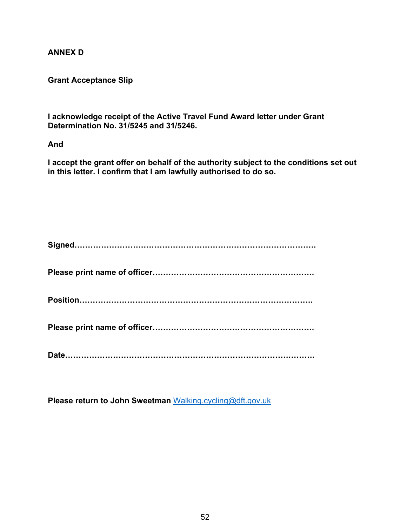## **ANNEX D**

## **Grant Acceptance Slip**

**I acknowledge receipt of the Active Travel Fund Award letter under Grant Determination No. 31/5245 and 31/5246.** 

## **And**

**I accept the grant offer on behalf of the authority subject to the conditions set out in this letter. I confirm that I am lawfully authorised to do so.** 

**Please return to John Sweetman** [Walking.cycling@dft.gov.uk](mailto:Walking.cycing@dft.gov.uk)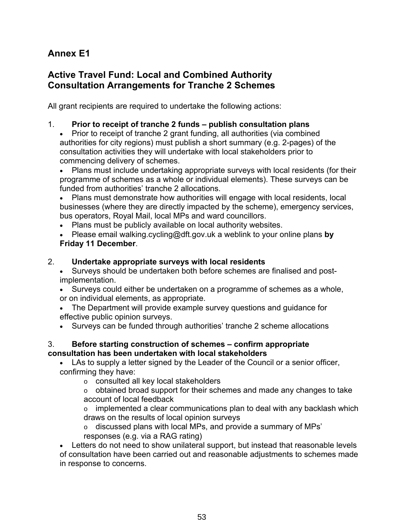# **Annex E1**

# **Active Travel Fund: Local and Combined Authority Consultation Arrangements for Tranche 2 Schemes**

All grant recipients are required to undertake the following actions:

## 1. **Prior to receipt of tranche 2 funds – publish consultation plans**

 Prior to receipt of tranche 2 grant funding, all authorities (via combined authorities for city regions) must publish a short summary (e.g. 2-pages) of the consultation activities they will undertake with local stakeholders prior to commencing delivery of schemes.

 Plans must include undertaking appropriate surveys with local residents (for their programme of schemes as a whole or individual elements). These surveys can be funded from authorities' tranche 2 allocations.

 Plans must demonstrate how authorities will engage with local residents, local businesses (where they are directly impacted by the scheme), emergency services, bus operators, Royal Mail, local MPs and ward councillors.

Plans must be publicly available on local authority websites.

 Please email [walking.cycling@dft.gov.uk](mailto:walking.cycling@dft.gov.uk) a weblink to your online plans **by Friday 11 December**.

## 2. **Undertake appropriate surveys with local residents**

- Surveys should be undertaken both before schemes are finalised and postimplementation.
- Surveys could either be undertaken on a programme of schemes as a whole, or on individual elements, as appropriate.
- The Department will provide example survey questions and guidance for effective public opinion surveys.
- Surveys can be funded through authorities' tranche 2 scheme allocations

## 3. **Before starting construction of schemes – confirm appropriate consultation has been undertaken with local stakeholders**

 LAs to supply a letter signed by the Leader of the Council or a senior officer, confirming they have:

o consulted all key local stakeholders

 $\circ$  obtained broad support for their schemes and made any changes to take account of local feedback

 $\circ$  implemented a clear communications plan to deal with any backlash which draws on the results of local opinion surveys

 $\circ$  discussed plans with local MPs, and provide a summary of MPs' responses (e.g. via a RAG rating)

 Letters do not need to show unilateral support, but instead that reasonable levels of consultation have been carried out and reasonable adjustments to schemes made in response to concerns.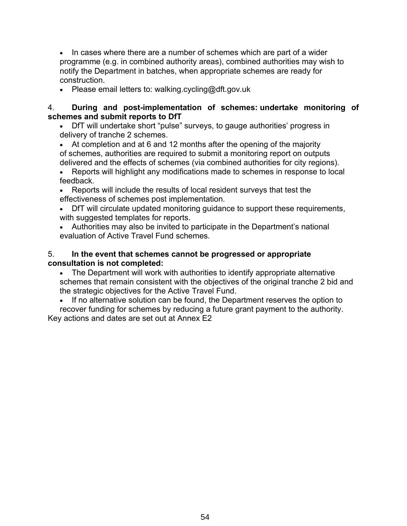• In cases where there are a number of schemes which are part of a wider programme (e.g. in combined authority areas), combined authorities may wish to notify the Department in batches, when appropriate schemes are ready for construction.

• Please email letters to: walking.cycling@dft.gov.uk

## 4. **During and post-implementation of schemes: undertake monitoring of schemes and submit reports to DfT**

 DfT will undertake short "pulse" surveys, to gauge authorities' progress in delivery of tranche 2 schemes.

 At completion and at 6 and 12 months after the opening of the majority of schemes, authorities are required to submit a monitoring report on outputs delivered and the effects of schemes (via combined authorities for city regions).

 Reports will highlight any modifications made to schemes in response to local feedback.

 Reports will include the results of local resident surveys that test the effectiveness of schemes post implementation.

 DfT will circulate updated monitoring guidance to support these requirements, with suggested templates for reports.

 Authorities may also be invited to participate in the Department's national evaluation of Active Travel Fund schemes.

## 5. **In the event that schemes cannot be progressed or appropriate consultation is not completed:**

 The Department will work with authorities to identify appropriate alternative schemes that remain consistent with the objectives of the original tranche 2 bid and the strategic objectives for the Active Travel Fund.

• If no alternative solution can be found, the Department reserves the option to recover funding for schemes by reducing a future grant payment to the authority. Key actions and dates are set out at Annex E2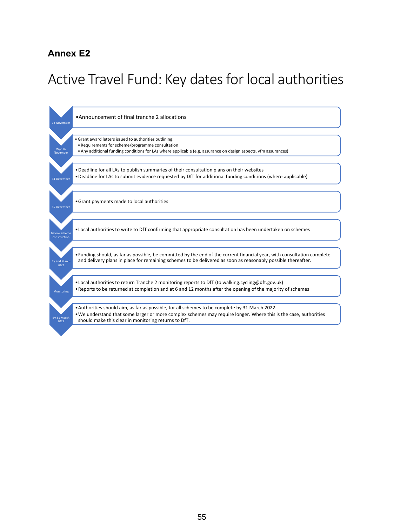# **Annex E2**

# Active Travel Fund: Key dates for local authorities

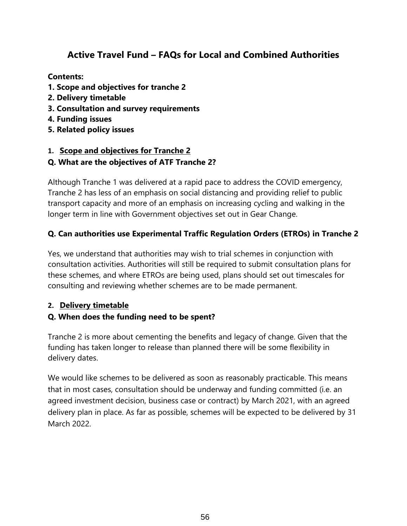# **Active Travel Fund – FAQs for Local and Combined Authorities**

**Contents:** 

- **1. Scope and objectives for tranche 2**
- **2. Delivery timetable**
- **3. Consultation and survey requirements**
- **4. Funding issues**
- **5. Related policy issues**

# **1. Scope and objectives for Tranche 2**

## **Q. What are the objectives of ATF Tranche 2?**

Although Tranche 1 was delivered at a rapid pace to address the COVID emergency, Tranche 2 has less of an emphasis on social distancing and providing relief to public transport capacity and more of an emphasis on increasing cycling and walking in the longer term in line with Government objectives set out in Gear Change.

# **Q. Can authorities use Experimental Traffic Regulation Orders (ETROs) in Tranche 2**

Yes, we understand that authorities may wish to trial schemes in conjunction with consultation activities. Authorities will still be required to submit consultation plans for these schemes, and where ETROs are being used, plans should set out timescales for consulting and reviewing whether schemes are to be made permanent.

# **2. Delivery timetable**

# **Q. When does the funding need to be spent?**

Tranche 2 is more about cementing the benefits and legacy of change. Given that the funding has taken longer to release than planned there will be some flexibility in delivery dates.

We would like schemes to be delivered as soon as reasonably practicable. This means that in most cases, consultation should be underway and funding committed (i.e. an agreed investment decision, business case or contract) by March 2021, with an agreed delivery plan in place. As far as possible, schemes will be expected to be delivered by 31 March 2022.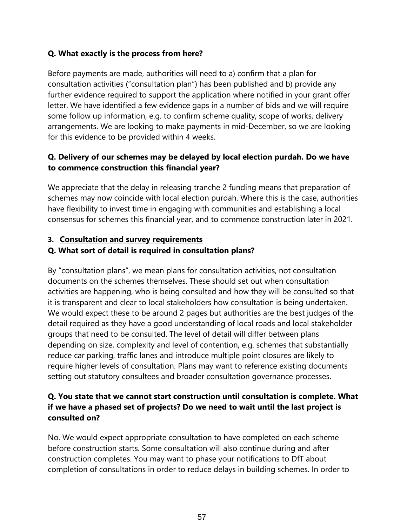# **Q. What exactly is the process from here?**

Before payments are made, authorities will need to a) confirm that a plan for consultation activities ("consultation plan") has been published and b) provide any further evidence required to support the application where notified in your grant offer letter. We have identified a few evidence gaps in a number of bids and we will require some follow up information, e.g. to confirm scheme quality, scope of works, delivery arrangements. We are looking to make payments in mid-December, so we are looking for this evidence to be provided within 4 weeks.

# **Q. Delivery of our schemes may be delayed by local election purdah. Do we have to commence construction this financial year?**

We appreciate that the delay in releasing tranche 2 funding means that preparation of schemes may now coincide with local election purdah. Where this is the case, authorities have flexibility to invest time in engaging with communities and establishing a local consensus for schemes this financial year, and to commence construction later in 2021.

## **3. Consultation and survey requirements**

## **Q. What sort of detail is required in consultation plans?**

By "consultation plans", we mean plans for consultation activities, not consultation documents on the schemes themselves. These should set out when consultation activities are happening, who is being consulted and how they will be consulted so that it is transparent and clear to local stakeholders how consultation is being undertaken. We would expect these to be around 2 pages but authorities are the best judges of the detail required as they have a good understanding of local roads and local stakeholder groups that need to be consulted. The level of detail will differ between plans depending on size, complexity and level of contention, e.g. schemes that substantially reduce car parking, traffic lanes and introduce multiple point closures are likely to require higher levels of consultation. Plans may want to reference existing documents setting out statutory consultees and broader consultation governance processes.

# **Q. You state that we cannot start construction until consultation is complete. What if we have a phased set of projects? Do we need to wait until the last project is consulted on?**

No. We would expect appropriate consultation to have completed on each scheme before construction starts. Some consultation will also continue during and after construction completes. You may want to phase your notifications to DfT about completion of consultations in order to reduce delays in building schemes. In order to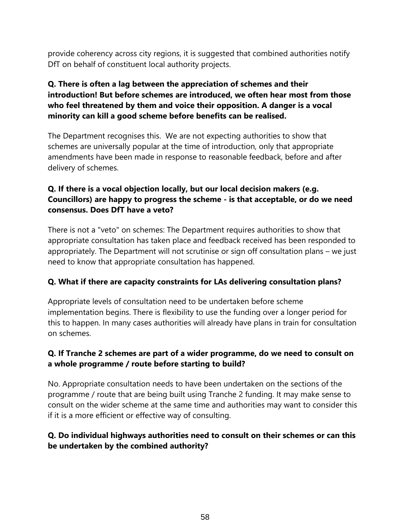provide coherency across city regions, it is suggested that combined authorities notify DfT on behalf of constituent local authority projects.

# **Q. There is often a lag between the appreciation of schemes and their introduction! But before schemes are introduced, we often hear most from those who feel threatened by them and voice their opposition. A danger is a vocal minority can kill a good scheme before benefits can be realised.**

The Department recognises this. We are not expecting authorities to show that schemes are universally popular at the time of introduction, only that appropriate amendments have been made in response to reasonable feedback, before and after delivery of schemes.

# **Q. If there is a vocal objection locally, but our local decision makers (e.g. Councillors) are happy to progress the scheme - is that acceptable, or do we need consensus. Does DfT have a veto?**

There is not a "veto" on schemes: The Department requires authorities to show that appropriate consultation has taken place and feedback received has been responded to appropriately. The Department will not scrutinise or sign off consultation plans – we just need to know that appropriate consultation has happened.

# **Q. What if there are capacity constraints for LAs delivering consultation plans?**

Appropriate levels of consultation need to be undertaken before scheme implementation begins. There is flexibility to use the funding over a longer period for this to happen. In many cases authorities will already have plans in train for consultation on schemes.

# **Q. If Tranche 2 schemes are part of a wider programme, do we need to consult on a whole programme / route before starting to build?**

No. Appropriate consultation needs to have been undertaken on the sections of the programme / route that are being built using Tranche 2 funding. It may make sense to consult on the wider scheme at the same time and authorities may want to consider this if it is a more efficient or effective way of consulting.

# **Q. Do individual highways authorities need to consult on their schemes or can this be undertaken by the combined authority?**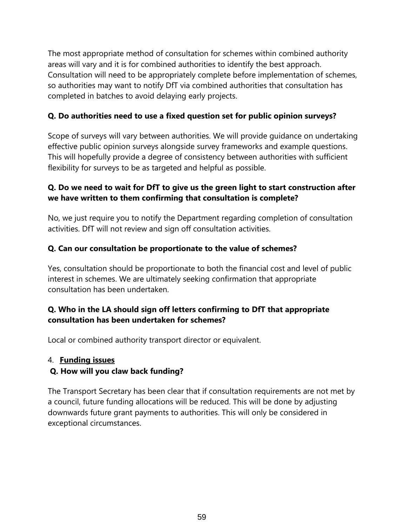The most appropriate method of consultation for schemes within combined authority areas will vary and it is for combined authorities to identify the best approach. Consultation will need to be appropriately complete before implementation of schemes, so authorities may want to notify DfT via combined authorities that consultation has completed in batches to avoid delaying early projects.

# **Q. Do authorities need to use a fixed question set for public opinion surveys?**

Scope of surveys will vary between authorities. We will provide guidance on undertaking effective public opinion surveys alongside survey frameworks and example questions. This will hopefully provide a degree of consistency between authorities with sufficient flexibility for surveys to be as targeted and helpful as possible.

# **Q. Do we need to wait for DfT to give us the green light to start construction after we have written to them confirming that consultation is complete?**

No, we just require you to notify the Department regarding completion of consultation activities. DfT will not review and sign off consultation activities.

# **Q. Can our consultation be proportionate to the value of schemes?**

Yes, consultation should be proportionate to both the financial cost and level of public interest in schemes. We are ultimately seeking confirmation that appropriate consultation has been undertaken.

# **Q. Who in the LA should sign off letters confirming to DfT that appropriate consultation has been undertaken for schemes?**

Local or combined authority transport director or equivalent.

## 4. **Funding issues**

# **Q. How will you claw back funding?**

The Transport Secretary has been clear that if consultation requirements are not met by a council, future funding allocations will be reduced. This will be done by adjusting downwards future grant payments to authorities. This will only be considered in exceptional circumstances.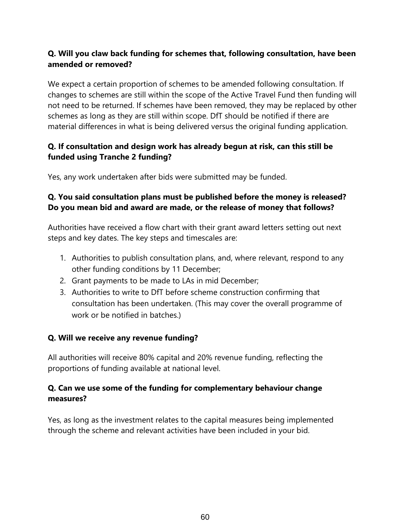# **Q. Will you claw back funding for schemes that, following consultation, have been amended or removed?**

We expect a certain proportion of schemes to be amended following consultation. If changes to schemes are still within the scope of the Active Travel Fund then funding will not need to be returned. If schemes have been removed, they may be replaced by other schemes as long as they are still within scope. DfT should be notified if there are material differences in what is being delivered versus the original funding application.

# **Q. If consultation and design work has already begun at risk, can this still be funded using Tranche 2 funding?**

Yes, any work undertaken after bids were submitted may be funded.

# **Q. You said consultation plans must be published before the money is released? Do you mean bid and award are made, or the release of money that follows?**

Authorities have received a flow chart with their grant award letters setting out next steps and key dates. The key steps and timescales are:

- 1. Authorities to publish consultation plans, and, where relevant, respond to any other funding conditions by 11 December;
- 2. Grant payments to be made to LAs in mid December;
- 3. Authorities to write to DfT before scheme construction confirming that consultation has been undertaken. (This may cover the overall programme of work or be notified in batches.)

# **Q. Will we receive any revenue funding?**

All authorities will receive 80% capital and 20% revenue funding, reflecting the proportions of funding available at national level.

# **Q. Can we use some of the funding for complementary behaviour change measures?**

Yes, as long as the investment relates to the capital measures being implemented through the scheme and relevant activities have been included in your bid.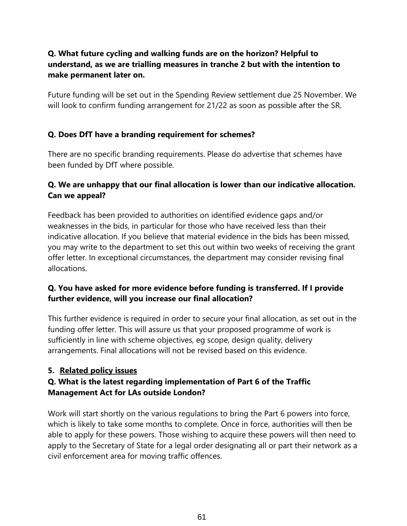# **Q. What future cycling and walking funds are on the horizon? Helpful to understand, as we are trialling measures in tranche 2 but with the intention to make permanent later on.**

Future funding will be set out in the Spending Review settlement due 25 November. We will look to confirm funding arrangement for 21/22 as soon as possible after the SR.

# **Q. Does DfT have a branding requirement for schemes?**

There are no specific branding requirements. Please do advertise that schemes have been funded by DfT where possible.

# **Q. We are unhappy that our final allocation is lower than our indicative allocation. Can we appeal?**

Feedback has been provided to authorities on identified evidence gaps and/or weaknesses in the bids, in particular for those who have received less than their indicative allocation. If you believe that material evidence in the bids has been missed, you may write to the department to set this out within two weeks of receiving the grant offer letter. In exceptional circumstances, the department may consider revising final allocations.

# **Q. You have asked for more evidence before funding is transferred. If I provide further evidence, will you increase our final allocation?**

This further evidence is required in order to secure your final allocation, as set out in the funding offer letter. This will assure us that your proposed programme of work is sufficiently in line with scheme objectives, eg scope, design quality, delivery arrangements. Final allocations will not be revised based on this evidence.

# **5. Related policy issues**

# **Q. What is the latest regarding implementation of Part 6 of the Traffic Management Act for LAs outside London?**

Work will start shortly on the various regulations to bring the Part 6 powers into force, which is likely to take some months to complete. Once in force, authorities will then be able to apply for these powers. Those wishing to acquire these powers will then need to apply to the Secretary of State for a legal order designating all or part their network as a civil enforcement area for moving traffic offences.